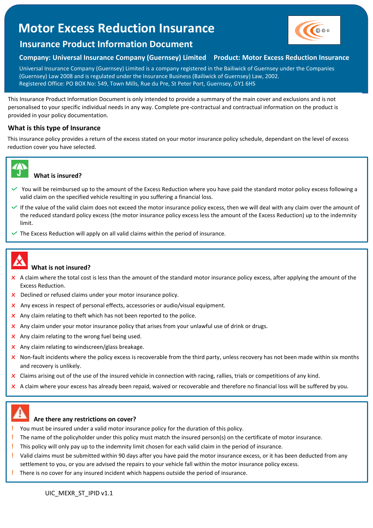# **Motor Excess Reduction Insurance**



## **Insurance Product Information Document**

## **Company: Universal Insurance Company (Guernsey) Limited Product: Motor Excess Reduction Insurance**

Universal Insurance Company (Guernsey) Limited is a company registered in the Bailiwick of Guernsey under the Companies (Guernsey) Law 2008 and is regulated under the Insurance Business (Bailiwick of Guernsey) Law, 2002. Registered Office: PO BOX No: 549, Town Mills, Rue du Pre, St Peter Port, Guernsey, GY1 6HS

This Insurance Product Information Document is only intended to provide a summary of the main cover and exclusions and is not personalised to your specific individual needs in any way. Complete pre-contractual and contractual information on the product is provided in your policy documentation.

## **What is this type of Insurance**

This insurance policy provides a return of the excess stated on your motor insurance policy schedule, dependant on the level of excess reduction cover you have selected.



#### **What is insured?**

- Y You will be reimbursed up to the amount of the Excess Reduction where you have paid the standard motor policy excess following a valid claim on the specified vehicle resulting in you suffering a financial loss.
- If the value of the valid claim does not exceed the motor insurance policy excess, then we will deal with any claim over the amount of the reduced standard policy excess (the motor insurance policy excess less the amount of the Excess Reduction) up to the indemnity limit.
- The Excess Reduction will apply on all valid claims within the period of insurance.



### **What is not insured?**

- x A claim where the total cost is less than the amount of the standard motor insurance policy excess, after applying the amount of the Excess Reduction.
- **X** Declined or refused claims under your motor insurance policy.
- x Any excess in respect of personal effects, accessories or audio/visual equipment.
- $\times$  Any claim relating to theft which has not been reported to the police.
- $\times$  Any claim under your motor insurance policy that arises from your unlawful use of drink or drugs.
- $\times$  Any claim relating to the wrong fuel being used.
- $\times$  Any claim relating to windscreen/glass breakage.
- $\times$  Non-fault incidents where the policy excess is recoverable from the third party, unless recovery has not been made within six months and recovery is unlikely.
- $\times$  Claims arising out of the use of the insured vehicle in connection with racing, rallies, trials or competitions of any kind.
- $\times$  A claim where your excess has already been repaid, waived or recoverable and therefore no financial loss will be suffered by you.



 $\overline{a}$ 

#### **Are there any restrictions on cover?**

- **!** You must be insured under a valid motor insurance policy for the duration of this policy.
- **!** The name of the policyholder under this policy must match the insured person(s) on the certificate of motor insurance.
- **!** This policy will only pay up to the indemnity limit chosen for each valid claim in the period of insurance.
- **!** Valid claims must be submitted within 90 days after you have paid the motor insurance excess, or it has been deducted from any settlement to you, or you are advised the repairs to your vehicle fall within the motor insurance policy excess.
- **!** There is no cover for any insured incident which happens outside the period of insurance.